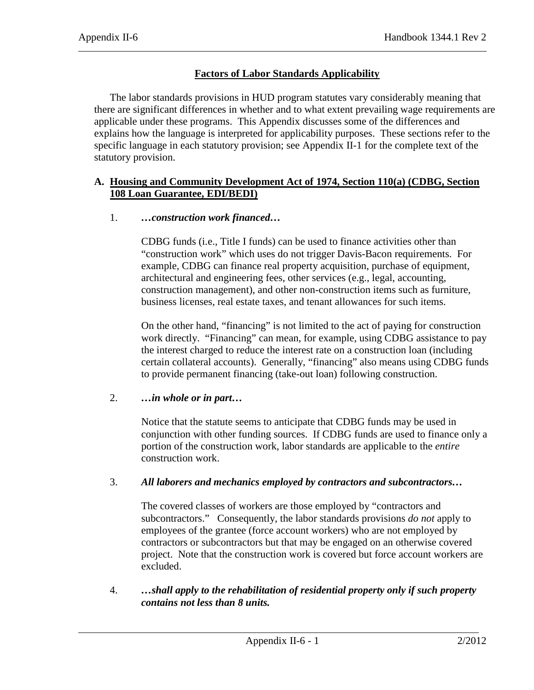# **Factors of Labor Standards Applicability**

The labor standards provisions in HUD program statutes vary considerably meaning that there are significant differences in whether and to what extent prevailing wage requirements are applicable under these programs. This Appendix discusses some of the differences and explains how the language is interpreted for applicability purposes. These sections refer to the specific language in each statutory provision; see Appendix II-1 for the complete text of the statutory provision.

# **A. Housing and Community Development Act of 1974, Section 110(a) (CDBG, Section 108 Loan Guarantee, EDI/BEDI)**

# 1. *…construction work financed…*

CDBG funds (i.e., Title I funds) can be used to finance activities other than "construction work" which uses do not trigger Davis-Bacon requirements. For example, CDBG can finance real property acquisition, purchase of equipment, architectural and engineering fees, other services (e.g., legal, accounting, construction management), and other non-construction items such as furniture, business licenses, real estate taxes, and tenant allowances for such items.

On the other hand, "financing" is not limited to the act of paying for construction work directly. "Financing" can mean, for example, using CDBG assistance to pay the interest charged to reduce the interest rate on a construction loan (including certain collateral accounts). Generally, "financing" also means using CDBG funds to provide permanent financing (take-out loan) following construction.

# 2. *…in whole or in part…*

Notice that the statute seems to anticipate that CDBG funds may be used in conjunction with other funding sources. If CDBG funds are used to finance only a portion of the construction work, labor standards are applicable to the *entire* construction work.

# 3. *All laborers and mechanics employed by contractors and subcontractors…*

The covered classes of workers are those employed by "contractors and subcontractors." Consequently, the labor standards provisions *do not* apply to employees of the grantee (force account workers) who are not employed by contractors or subcontractors but that may be engaged on an otherwise covered project. Note that the construction work is covered but force account workers are excluded.

4. *…shall apply to the rehabilitation of residential property only if such property contains not less than 8 units.*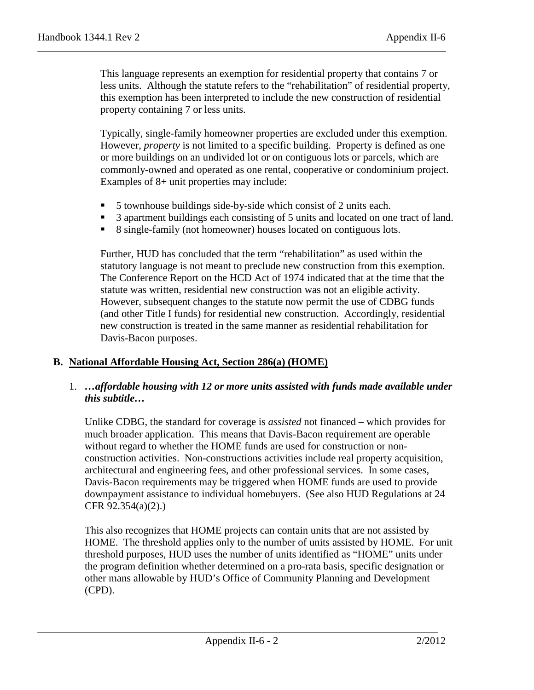This language represents an exemption for residential property that contains 7 or less units. Although the statute refers to the "rehabilitation" of residential property, this exemption has been interpreted to include the new construction of residential property containing 7 or less units.

Typically, single-family homeowner properties are excluded under this exemption. However, *property* is not limited to a specific building. Property is defined as one or more buildings on an undivided lot or on contiguous lots or parcels, which are commonly-owned and operated as one rental, cooperative or condominium project. Examples of 8+ unit properties may include:

- 5 townhouse buildings side-by-side which consist of 2 units each.
- <sup>3</sup> 3 apartment buildings each consisting of 5 units and located on one tract of land.
- 8 single-family (not homeowner) houses located on contiguous lots.

Further, HUD has concluded that the term "rehabilitation" as used within the statutory language is not meant to preclude new construction from this exemption. The Conference Report on the HCD Act of 1974 indicated that at the time that the statute was written, residential new construction was not an eligible activity. However, subsequent changes to the statute now permit the use of CDBG funds (and other Title I funds) for residential new construction. Accordingly, residential new construction is treated in the same manner as residential rehabilitation for Davis-Bacon purposes.

## **B. National Affordable Housing Act, Section 286(a) (HOME)**

## 1. *…affordable housing with 12 or more units assisted with funds made available under this subtitle…*

Unlike CDBG, the standard for coverage is *assisted* not financed – which provides for much broader application. This means that Davis-Bacon requirement are operable without regard to whether the HOME funds are used for construction or nonconstruction activities. Non-constructions activities include real property acquisition, architectural and engineering fees, and other professional services. In some cases, Davis-Bacon requirements may be triggered when HOME funds are used to provide downpayment assistance to individual homebuyers. (See also HUD Regulations at 24 CFR 92.354(a)(2).)

This also recognizes that HOME projects can contain units that are not assisted by HOME. The threshold applies only to the number of units assisted by HOME. For unit threshold purposes, HUD uses the number of units identified as "HOME" units under the program definition whether determined on a pro-rata basis, specific designation or other mans allowable by HUD's Office of Community Planning and Development (CPD).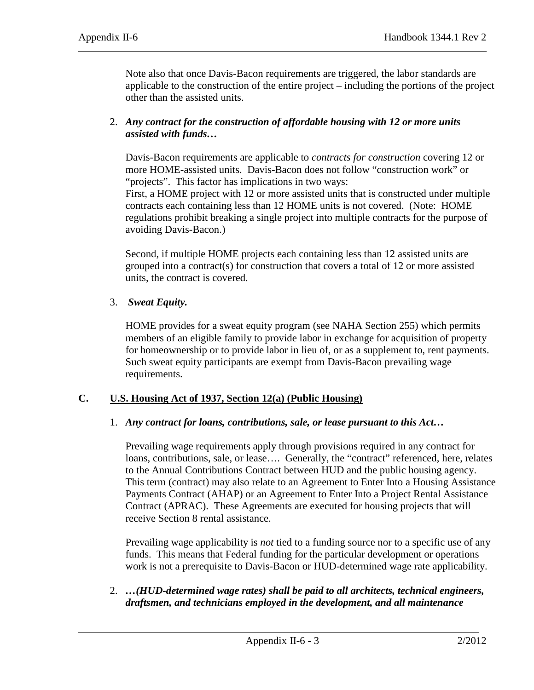Note also that once Davis-Bacon requirements are triggered, the labor standards are applicable to the construction of the entire project – including the portions of the project other than the assisted units.

# 2. *Any contract for the construction of affordable housing with 12 or more units assisted with funds…*

Davis-Bacon requirements are applicable to *contracts for construction* covering 12 or more HOME-assisted units. Davis-Bacon does not follow "construction work" or "projects". This factor has implications in two ways:

First, a HOME project with 12 or more assisted units that is constructed under multiple contracts each containing less than 12 HOME units is not covered. (Note: HOME regulations prohibit breaking a single project into multiple contracts for the purpose of avoiding Davis-Bacon.)

Second, if multiple HOME projects each containing less than 12 assisted units are grouped into a contract(s) for construction that covers a total of 12 or more assisted units, the contract is covered.

# 3. *Sweat Equity.*

HOME provides for a sweat equity program (see NAHA Section 255) which permits members of an eligible family to provide labor in exchange for acquisition of property for homeownership or to provide labor in lieu of, or as a supplement to, rent payments. Such sweat equity participants are exempt from Davis-Bacon prevailing wage requirements.

# **C. U.S. Housing Act of 1937, Section 12(a) (Public Housing)**

## 1. *Any contract for loans, contributions, sale, or lease pursuant to this Act…*

Prevailing wage requirements apply through provisions required in any contract for loans, contributions, sale, or lease.... Generally, the "contract" referenced, here, relates to the Annual Contributions Contract between HUD and the public housing agency. This term (contract) may also relate to an Agreement to Enter Into a Housing Assistance Payments Contract (AHAP) or an Agreement to Enter Into a Project Rental Assistance Contract (APRAC). These Agreements are executed for housing projects that will receive Section 8 rental assistance.

Prevailing wage applicability is *not* tied to a funding source nor to a specific use of any funds. This means that Federal funding for the particular development or operations work is not a prerequisite to Davis-Bacon or HUD-determined wage rate applicability.

# 2. *…(HUD-determined wage rates) shall be paid to all architects, technical engineers, draftsmen, and technicians employed in the development, and all maintenance*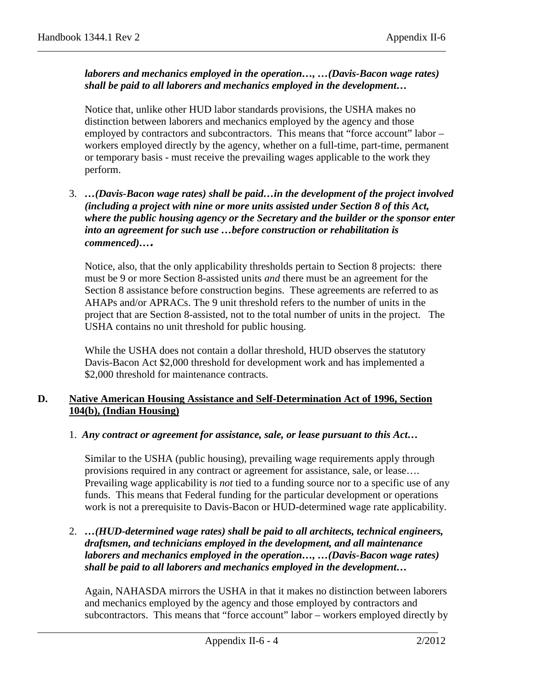## *laborers and mechanics employed in the operation…, …(Davis-Bacon wage rates) shall be paid to all laborers and mechanics employed in the development…*

Notice that, unlike other HUD labor standards provisions, the USHA makes no distinction between laborers and mechanics employed by the agency and those employed by contractors and subcontractors. This means that "force account" labor workers employed directly by the agency, whether on a full-time, part-time, permanent or temporary basis - must receive the prevailing wages applicable to the work they perform.

3. *…(Davis-Bacon wage rates) shall be paid…in the development of the project involved (including a project with nine or more units assisted under Section 8 of this Act, where the public housing agency or the Secretary and the builder or the sponsor enter into an agreement for such use …before construction or rehabilitation is commenced)…***.**

Notice, also, that the only applicability thresholds pertain to Section 8 projects: there must be 9 or more Section 8-assisted units *and* there must be an agreement for the Section 8 assistance before construction begins. These agreements are referred to as AHAPs and/or APRACs. The 9 unit threshold refers to the number of units in the project that are Section 8-assisted, not to the total number of units in the project. The USHA contains no unit threshold for public housing.

While the USHA does not contain a dollar threshold, HUD observes the statutory Davis-Bacon Act \$2,000 threshold for development work and has implemented a \$2,000 threshold for maintenance contracts.

## **D. Native American Housing Assistance and Self-Determination Act of 1996, Section 104(b), (Indian Housing)**

## 1. *Any contract or agreement for assistance, sale, or lease pursuant to this Act…*

Similar to the USHA (public housing), prevailing wage requirements apply through provisions required in any contract or agreement for assistance, sale, or lease…. Prevailing wage applicability is *not* tied to a funding source nor to a specific use of any funds. This means that Federal funding for the particular development or operations work is not a prerequisite to Davis-Bacon or HUD-determined wage rate applicability.

2. *…(HUD-determined wage rates) shall be paid to all architects, technical engineers, draftsmen, and technicians employed in the development, and all maintenance laborers and mechanics employed in the operation…, …(Davis-Bacon wage rates) shall be paid to all laborers and mechanics employed in the development…*

Again, NAHASDA mirrors the USHA in that it makes no distinction between laborers and mechanics employed by the agency and those employed by contractors and subcontractors. This means that "force account" labor – workers employed directly by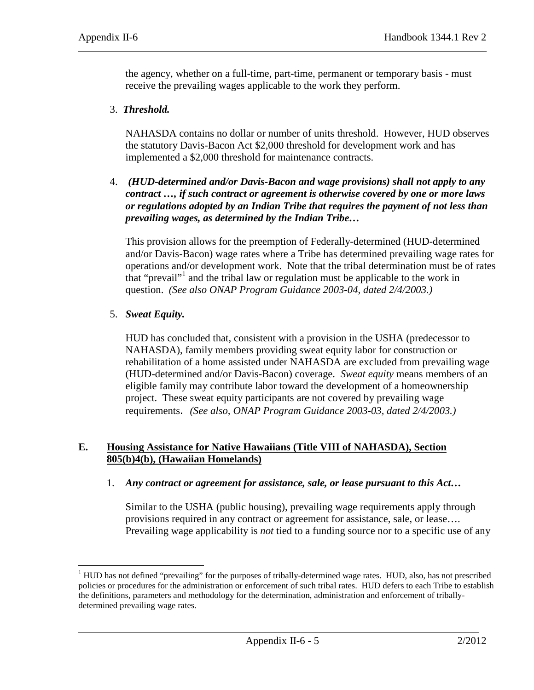the agency, whether on a full-time, part-time, permanent or temporary basis - must receive the prevailing wages applicable to the work they perform.

#### 3. *Threshold.*

NAHASDA contains no dollar or number of units threshold. However, HUD observes the statutory Davis-Bacon Act \$2,000 threshold for development work and has implemented a \$2,000 threshold for maintenance contracts.

4. *(HUD-determined and/or Davis-Bacon and wage provisions) shall not apply to any contract …, if such contract or agreement is otherwise covered by one or more laws or regulations adopted by an Indian Tribe that requires the payment of not less than prevailing wages, as determined by the Indian Tribe…*

This provision allows for the preemption of Federally-determined (HUD-determined and/or Davis-Bacon) wage rates where a Tribe has determined prevailing wage rates for operations and/or development work. Note that the tribal determination must be of rates that "prevail"<sup>[1](#page-4-0)</sup> and the tribal law or regulation must be applicable to the work in question. *(See also ONAP Program Guidance 2003-04, dated 2/4/2003.)*

#### 5. *Sweat Equity.*

HUD has concluded that, consistent with a provision in the USHA (predecessor to NAHASDA), family members providing sweat equity labor for construction or rehabilitation of a home assisted under NAHASDA are excluded from prevailing wage (HUD-determined and/or Davis-Bacon) coverage. *Sweat equity* means members of an eligible family may contribute labor toward the development of a homeownership project. These sweat equity participants are not covered by prevailing wage requirements. *(See also, ONAP Program Guidance 2003-03, dated 2/4/2003.)*

## **E. Housing Assistance for Native Hawaiians (Title VIII of NAHASDA), Section 805(b)4(b), (Hawaiian Homelands)**

1. *Any contract or agreement for assistance, sale, or lease pursuant to this Act…*

Similar to the USHA (public housing), prevailing wage requirements apply through provisions required in any contract or agreement for assistance, sale, or lease…. Prevailing wage applicability is *not* tied to a funding source nor to a specific use of any

<span id="page-4-0"></span><sup>&</sup>lt;sup>1</sup> HUD has not defined "prevailing" for the purposes of tribally-determined wage rates. HUD, also, has not prescribed policies or procedures for the administration or enforcement of such tribal rates. HUD defers to each Tribe to establish the definitions, parameters and methodology for the determination, administration and enforcement of triballydetermined prevailing wage rates.